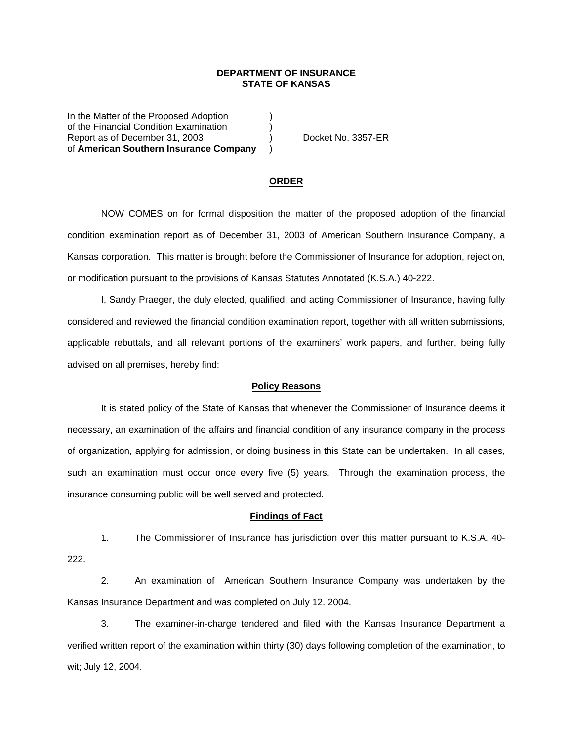## **DEPARTMENT OF INSURANCE STATE OF KANSAS**

In the Matter of the Proposed Adoption (a) of the Financial Condition Examination ) Report as of December 31, 2003 (a) Docket No. 3357-ER of **American Southern Insurance Company** )

#### **ORDER**

 NOW COMES on for formal disposition the matter of the proposed adoption of the financial condition examination report as of December 31, 2003 of American Southern Insurance Company, a Kansas corporation. This matter is brought before the Commissioner of Insurance for adoption, rejection, or modification pursuant to the provisions of Kansas Statutes Annotated (K.S.A.) 40-222.

 I, Sandy Praeger, the duly elected, qualified, and acting Commissioner of Insurance, having fully considered and reviewed the financial condition examination report, together with all written submissions, applicable rebuttals, and all relevant portions of the examiners' work papers, and further, being fully advised on all premises, hereby find:

### **Policy Reasons**

 It is stated policy of the State of Kansas that whenever the Commissioner of Insurance deems it necessary, an examination of the affairs and financial condition of any insurance company in the process of organization, applying for admission, or doing business in this State can be undertaken. In all cases, such an examination must occur once every five (5) years. Through the examination process, the insurance consuming public will be well served and protected.

#### **Findings of Fact**

 1. The Commissioner of Insurance has jurisdiction over this matter pursuant to K.S.A. 40- 222.

 2. An examination of American Southern Insurance Company was undertaken by the Kansas Insurance Department and was completed on July 12. 2004.

 3. The examiner-in-charge tendered and filed with the Kansas Insurance Department a verified written report of the examination within thirty (30) days following completion of the examination, to wit; July 12, 2004.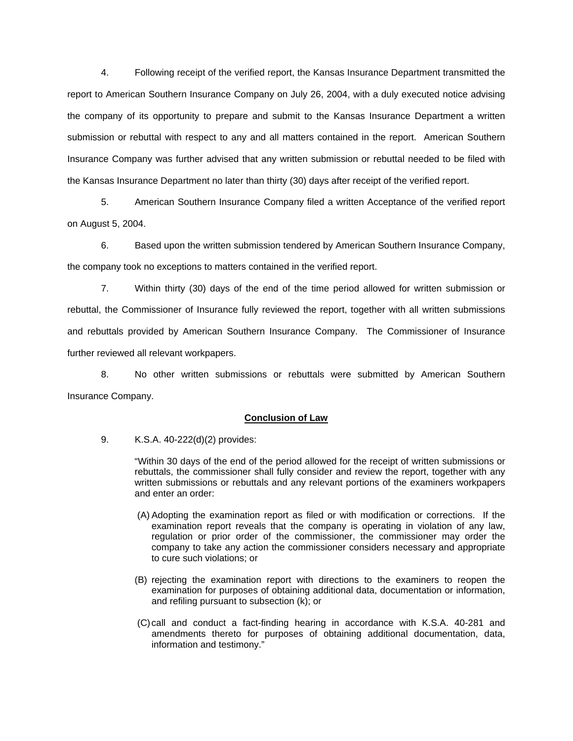4. Following receipt of the verified report, the Kansas Insurance Department transmitted the report to American Southern Insurance Company on July 26, 2004, with a duly executed notice advising the company of its opportunity to prepare and submit to the Kansas Insurance Department a written submission or rebuttal with respect to any and all matters contained in the report. American Southern Insurance Company was further advised that any written submission or rebuttal needed to be filed with the Kansas Insurance Department no later than thirty (30) days after receipt of the verified report.

 5. American Southern Insurance Company filed a written Acceptance of the verified report on August 5, 2004.

 6. Based upon the written submission tendered by American Southern Insurance Company, the company took no exceptions to matters contained in the verified report.

 7. Within thirty (30) days of the end of the time period allowed for written submission or rebuttal, the Commissioner of Insurance fully reviewed the report, together with all written submissions and rebuttals provided by American Southern Insurance Company. The Commissioner of Insurance further reviewed all relevant workpapers.

 8. No other written submissions or rebuttals were submitted by American Southern Insurance Company.

## **Conclusion of Law**

9. K.S.A. 40-222(d)(2) provides:

"Within 30 days of the end of the period allowed for the receipt of written submissions or rebuttals, the commissioner shall fully consider and review the report, together with any written submissions or rebuttals and any relevant portions of the examiners workpapers and enter an order:

- (A) Adopting the examination report as filed or with modification or corrections. If the examination report reveals that the company is operating in violation of any law, regulation or prior order of the commissioner, the commissioner may order the company to take any action the commissioner considers necessary and appropriate to cure such violations; or
- (B) rejecting the examination report with directions to the examiners to reopen the examination for purposes of obtaining additional data, documentation or information, and refiling pursuant to subsection (k); or
- (C) call and conduct a fact-finding hearing in accordance with K.S.A. 40-281 and amendments thereto for purposes of obtaining additional documentation, data, information and testimony."